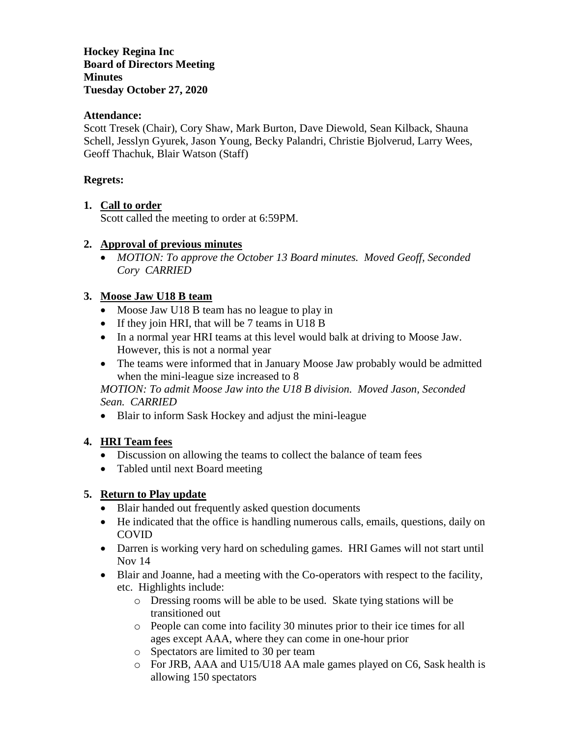**Hockey Regina Inc Board of Directors Meeting Minutes Tuesday October 27, 2020**

## **Attendance:**

Scott Tresek (Chair), Cory Shaw, Mark Burton, Dave Diewold, Sean Kilback, Shauna Schell, Jesslyn Gyurek, Jason Young, Becky Palandri, Christie Bjolverud, Larry Wees, Geoff Thachuk, Blair Watson (Staff)

## **Regrets:**

#### **1. Call to order**

Scott called the meeting to order at 6:59PM.

#### **2. Approval of previous minutes**

 *MOTION: To approve the October 13 Board minutes. Moved Geoff, Seconded Cory CARRIED*

#### **3. Moose Jaw U18 B team**

- Moose Jaw U18 B team has no league to play in
- If they join HRI, that will be 7 teams in U18 B
- In a normal year HRI teams at this level would balk at driving to Moose Jaw. However, this is not a normal year
- The teams were informed that in January Moose Jaw probably would be admitted when the mini-league size increased to 8

*MOTION: To admit Moose Jaw into the U18 B division. Moved Jason, Seconded Sean. CARRIED*

• Blair to inform Sask Hockey and adjust the mini-league

# **4. HRI Team fees**

- Discussion on allowing the teams to collect the balance of team fees
- Tabled until next Board meeting

# **5. Return to Play update**

- Blair handed out frequently asked question documents
- He indicated that the office is handling numerous calls, emails, questions, daily on COVID
- Darren is working very hard on scheduling games. HRI Games will not start until Nov 14
- Blair and Joanne, had a meeting with the Co-operators with respect to the facility, etc. Highlights include:
	- o Dressing rooms will be able to be used. Skate tying stations will be transitioned out
	- o People can come into facility 30 minutes prior to their ice times for all ages except AAA, where they can come in one-hour prior
	- o Spectators are limited to 30 per team
	- o For JRB, AAA and U15/U18 AA male games played on C6, Sask health is allowing 150 spectators